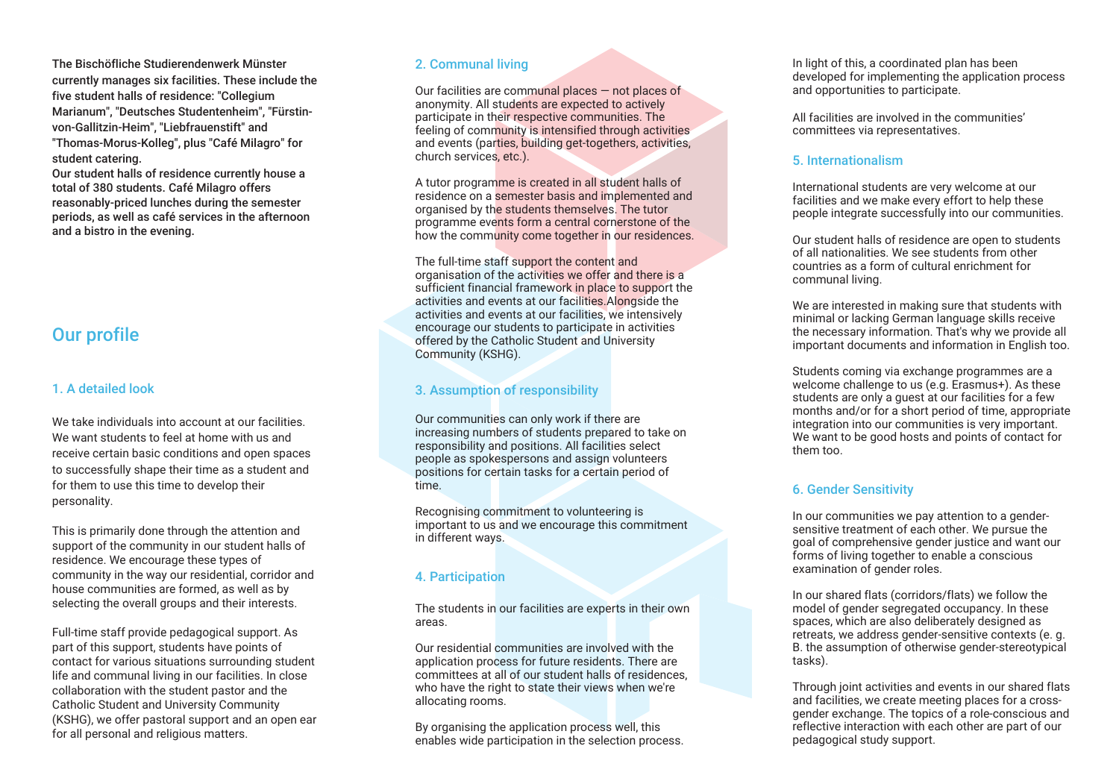The Bischöfliche Studierendenwerk Münster currently manages six facilities. These include the five student halls of residence: "Collegium Marianum", "Deutsches Studentenheim", "Fürstinvon-Gallitzin-Heim", "Liebfrauenstift" and "Thomas-Morus-Kolleg", plus "Café Milagro" for student catering.

Our student halls of residence currently house a total of 380 students. Café Milagro offers reasonably-priced lunches during the semester periods, as well as café services in the afternoon and a bistro in the evening.

# Our profile

# 1. A detailed look

We take individuals into account at our facilities. We want students to feel at home with us and receive certain basic conditions and open spaces to successfully shape their time as a student and for them to use this time to develop their personality.

This is primarily done through the attention and support of the community in our student halls of residence. We encourage these types of community in the way our residential, corridor and house communities are formed, as well as by selecting the overall groups and their interests.

Full-time staff provide pedagogical support. As part of this support, students have points of contact for various situations surrounding student life and communal living in our facilities. In close collaboration with the student pastor and the Catholic Student and University Community (KSHG), we offer pastoral support and an open ear for all personal and religious matters.

#### 2. Communal living

Our facilities are communal places — not places of anonymity. All students are expected to actively participate in their respective communities. The feeling of community is intensified through activities and events (parties, building get-togethers, activities, church services, etc.).

A tutor programme is created in all student halls of residence on a semester basis and implemented and organised by the students themselves. The tutor programme events form a central cornerstone of the how the community come together in our residences.

The full-time staff support the content and organisation of the activities we offer and there is a sufficient financial framework in place to support the activities and events at our facilities.Alongside the activities and events at our facilities, we intensively encourage our students to participate in activities offered by the Catholic Student and University Community (KSHG).

# 3. Assumption of responsibility

Our communities can only work if there are increasing numbers of students prepared to take on responsibility and positions. All facilities select people as spokespersons and assign volunteers positions for certain tasks for a certain period of time.

Recognising commitment to volunteering is important to us and we encourage this commitment in different ways.

# 4. Participation

The students in our facilities are experts in their own areas.

Our residential communities are involved with the application process for future residents. There are committees at all of our student halls of residences, who have the right to state their views when we're allocating rooms.

By organising the application process well, this enables wide participation in the selection process. In light of this, a coordinated plan has been developed for implementing the application process and opportunities to participate.

All facilities are involved in the communities' committees via representatives.

#### 5. Internationalism

International students are very welcome at our facilities and we make every effort to help these people integrate successfully into our communities.

Our student halls of residence are open to students of all nationalities. We see students from other countries as a form of cultural enrichment for communal living.

We are interested in making sure that students with minimal or lacking German language skills receive the necessary information. That's why we provide all important documents and information in English too.

Students coming via exchange programmes are a welcome challenge to us (e.g. Erasmus+). As these students are only a quest at our facilities for a few months and/or for a short period of time, appropriate integration into our communities is very important. We want to be good hosts and points of contact for them too.

# 6. Gender Sensitivity

In our communities we pay attention to a gendersensitive treatment of each other. We pursue the goal of comprehensive gender justice and want our forms of living together to enable a conscious examination of gender roles.

In our shared flats (corridors/flats) we follow the model of gender segregated occupancy. In these spaces, which are also deliberately designed as retreats, we address gender-sensitive contexts (e. g. B. the assumption of otherwise gender-stereotypical tasks).

Through joint activities and events in our shared flats and facilities, we create meeting places for a crossgender exchange. The topics of a role-conscious and reflective interaction with each other are part of our pedagogical study support.